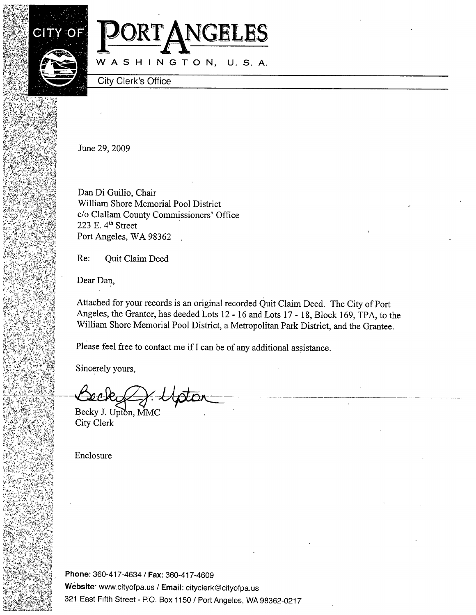



June29, 2009

Dan Di Guilio, Chair William Shore Memorial Pool District c/o Clallam County Commissioners' Office  $223$  E.  $4<sup>th</sup>$  Street Port Angeles, WA 98362

Re: QuitClaim Deed

Dear Dan,

Attached for your records is an original recorded Quit Claim Deed. The City of Port Angeles, the Grantor, has deeded Lots 12 - 16 and Lots 17 - 18, Block 169, TPA, to the William Shore Memorial Pool District, a Metropolitan Park District, and the Grantee.

Please feel free to contact me if I can be of any additional assistance.

Sincerely yours,

Becky J. Upton, MMC City Clerk

Enclosure

Phone: 360-417-4634 / Fax: 360-417-4609 Website· www.cityofpa.us / Email: cityclerk@cityofpa.us 321 East Fifth Street - P.O. Box 1150 / Port Angeles, WA 98362-0217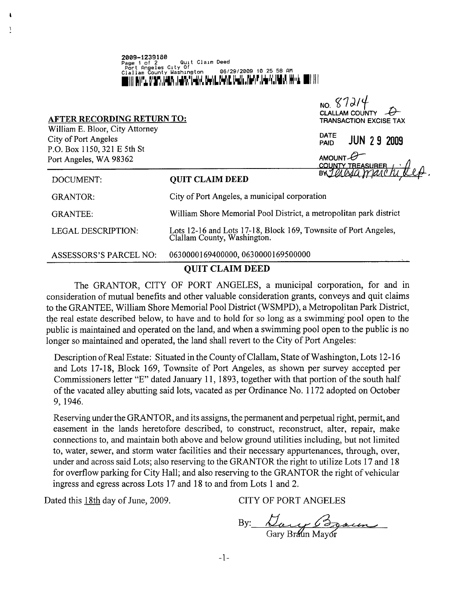2009-1239180 2009-1239180<br>Page 1 of 2<br>Port Angeles City Of<br>Clallam County Washington 06/29/2009 10:25:58 AM in hyva, svar, land, land, land, land, svar, land, land, land, land, land, land, land, land, land,

| <b>AFTER RECORDING RETURN TO:</b><br>William E. Bloor, City Attorney |                                                                                             | NO. 8721<br><b>CLALLAM COUNTY</b><br><b>TRANSACTION EXCISE TAX</b> |
|----------------------------------------------------------------------|---------------------------------------------------------------------------------------------|--------------------------------------------------------------------|
| City of Port Angeles<br>P.O. Box 1150, 321 E 5th St                  |                                                                                             | <b>DATE</b><br><b>JUN 29 2009</b><br><b>PAID</b>                   |
| Port Angeles, WA 98362                                               |                                                                                             | AMOUNT-O<br><b>COUNTY TREASURER</b>                                |
| DOCUMENT:                                                            | <b>QUIT CLAIM DEED</b>                                                                      |                                                                    |
| <b>GRANTOR:</b>                                                      | City of Port Angeles, a municipal corporation                                               |                                                                    |
| <b>GRANTEE:</b>                                                      | William Shore Memorial Pool District, a metropolitan park district                          |                                                                    |
| <b>LEGAL DESCRIPTION:</b>                                            | Lots 12-16 and Lots 17-18, Block 169, Townsite of Port Angeles, Clallam County, Washington. |                                                                    |
| ASSESSORS'S PARCEL NO:                                               | 0630000169400000, 0630000169500000                                                          |                                                                    |

## **QUIT CLAIM DEED**

The GRANTOR, CITY OF PORT ANGELES, a municipal corporation, for and in consideration of mutual benefits and other valuable consideration grants, conveys and quit claims to the GRANTEE, William Shore Memorial Pool District (WSMPD), a Metropolitan Park District, the real estate described below, to have and to hold for so long as a swimming pool open to the public is maintained and operated on the land, and when a swimming pool open to the public is no longer so maintained and operated, the land shall revert to the City of Port Angeles:

Description of Real Estate: Situated in the County of Clallam, State of Washington, Lots 12-16 and Lots 17-18, Block 169, Townsite of Port Angeles, as shown per survey accepted per Commissioners letter "E" dated January 11, 1893, together with that portion of the south half of the vacated alley abutting said lots, vacated as per Ordinance No. 1172 adopted on October 9, 1946.

Reserving under the GRANTOR, and its assigns, the permanent and perpetual right, permit, and easement in the lands heretofore described, to construct, reconstruct, alter, repair, make connections to, and maintain both above and below ground utilities including, but not limited to, water, sewer, and storm water facilities and their necessary appurtenances, through, over, under and across said Lots; also reserving to the GRANTOR the right to utilize Lots 17 and 18 for overflow parking for City Hall; and also reserving to the GRANTOR the right of vehicular ingress and egress across Lots 17 and 18 to and from Lots 1 and 2.

Dated this 18th day of June, 2009.

 $\ddot{\phantom{a}}$  $\pmb{\prime}$ 

**CITY OF PORT ANGELES** 

By: Dary Braun